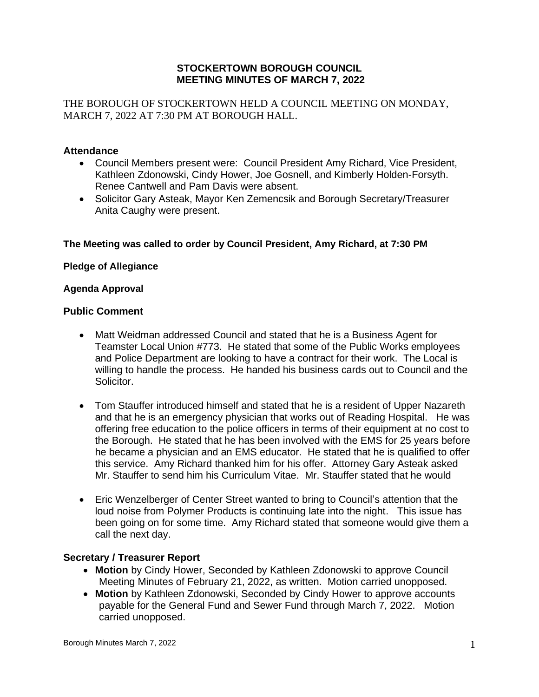## **STOCKERTOWN BOROUGH COUNCIL MEETING MINUTES OF MARCH 7, 2022**

THE BOROUGH OF STOCKERTOWN HELD A COUNCIL MEETING ON MONDAY, MARCH 7, 2022 AT 7:30 PM AT BOROUGH HALL.

## **Attendance**

- Council Members present were: Council President Amy Richard, Vice President, Kathleen Zdonowski, Cindy Hower, Joe Gosnell, and Kimberly Holden-Forsyth. Renee Cantwell and Pam Davis were absent.
- Solicitor Gary Asteak, Mayor Ken Zemencsik and Borough Secretary/Treasurer Anita Caughy were present.

## **The Meeting was called to order by Council President, Amy Richard, at 7:30 PM**

## **Pledge of Allegiance**

### **Agenda Approval**

### **Public Comment**

- Matt Weidman addressed Council and stated that he is a Business Agent for Teamster Local Union #773. He stated that some of the Public Works employees and Police Department are looking to have a contract for their work. The Local is willing to handle the process. He handed his business cards out to Council and the Solicitor.
- Tom Stauffer introduced himself and stated that he is a resident of Upper Nazareth and that he is an emergency physician that works out of Reading Hospital. He was offering free education to the police officers in terms of their equipment at no cost to the Borough. He stated that he has been involved with the EMS for 25 years before he became a physician and an EMS educator. He stated that he is qualified to offer this service. Amy Richard thanked him for his offer. Attorney Gary Asteak asked Mr. Stauffer to send him his Curriculum Vitae. Mr. Stauffer stated that he would
- Eric Wenzelberger of Center Street wanted to bring to Council's attention that the loud noise from Polymer Products is continuing late into the night. This issue has been going on for some time. Amy Richard stated that someone would give them a call the next day.

## **Secretary / Treasurer Report**

- **Motion** by Cindy Hower, Seconded by Kathleen Zdonowski to approve Council Meeting Minutes of February 21, 2022, as written. Motion carried unopposed.
- **Motion** by Kathleen Zdonowski, Seconded by Cindy Hower to approve accounts payable for the General Fund and Sewer Fund through March 7, 2022. Motion carried unopposed.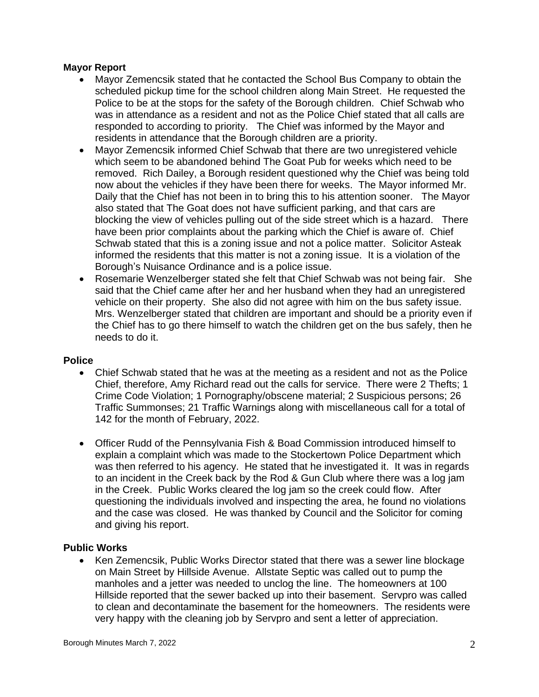## **Mayor Report**

- Mayor Zemencsik stated that he contacted the School Bus Company to obtain the scheduled pickup time for the school children along Main Street. He requested the Police to be at the stops for the safety of the Borough children. Chief Schwab who was in attendance as a resident and not as the Police Chief stated that all calls are responded to according to priority. The Chief was informed by the Mayor and residents in attendance that the Borough children are a priority.
- Mayor Zemencsik informed Chief Schwab that there are two unregistered vehicle which seem to be abandoned behind The Goat Pub for weeks which need to be removed. Rich Dailey, a Borough resident questioned why the Chief was being told now about the vehicles if they have been there for weeks. The Mayor informed Mr. Daily that the Chief has not been in to bring this to his attention sooner. The Mayor also stated that The Goat does not have sufficient parking, and that cars are blocking the view of vehicles pulling out of the side street which is a hazard. There have been prior complaints about the parking which the Chief is aware of. Chief Schwab stated that this is a zoning issue and not a police matter. Solicitor Asteak informed the residents that this matter is not a zoning issue. It is a violation of the Borough's Nuisance Ordinance and is a police issue.
- Rosemarie Wenzelberger stated she felt that Chief Schwab was not being fair. She said that the Chief came after her and her husband when they had an unregistered vehicle on their property. She also did not agree with him on the bus safety issue. Mrs. Wenzelberger stated that children are important and should be a priority even if the Chief has to go there himself to watch the children get on the bus safely, then he needs to do it.

#### **Police**

- Chief Schwab stated that he was at the meeting as a resident and not as the Police Chief, therefore, Amy Richard read out the calls for service. There were 2 Thefts; 1 Crime Code Violation; 1 Pornography/obscene material; 2 Suspicious persons; 26 Traffic Summonses; 21 Traffic Warnings along with miscellaneous call for a total of 142 for the month of February, 2022.
- Officer Rudd of the Pennsylvania Fish & Boad Commission introduced himself to explain a complaint which was made to the Stockertown Police Department which was then referred to his agency. He stated that he investigated it. It was in regards to an incident in the Creek back by the Rod & Gun Club where there was a log jam in the Creek. Public Works cleared the log jam so the creek could flow. After questioning the individuals involved and inspecting the area, he found no violations and the case was closed. He was thanked by Council and the Solicitor for coming and giving his report.

## **Public Works**

• Ken Zemencsik, Public Works Director stated that there was a sewer line blockage on Main Street by Hillside Avenue. Allstate Septic was called out to pump the manholes and a jetter was needed to unclog the line. The homeowners at 100 Hillside reported that the sewer backed up into their basement. Servpro was called to clean and decontaminate the basement for the homeowners. The residents were very happy with the cleaning job by Servpro and sent a letter of appreciation.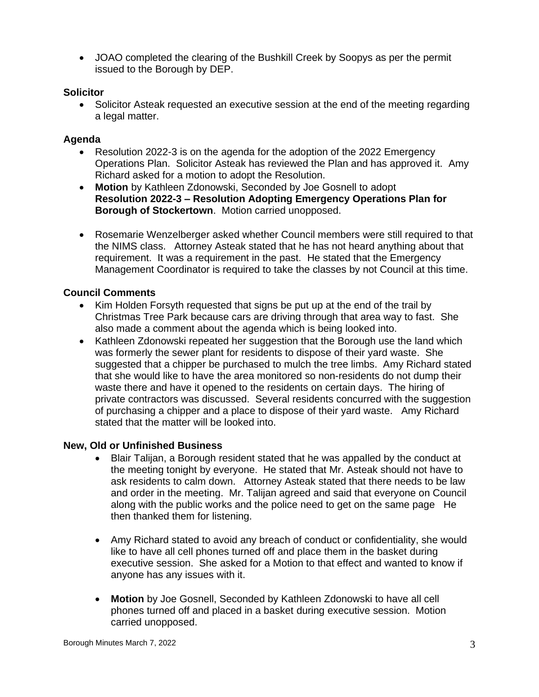• JOAO completed the clearing of the Bushkill Creek by Soopys as per the permit issued to the Borough by DEP.

# **Solicitor**

• Solicitor Asteak requested an executive session at the end of the meeting regarding a legal matter.

# **Agenda**

- Resolution 2022-3 is on the agenda for the adoption of the 2022 Emergency Operations Plan. Solicitor Asteak has reviewed the Plan and has approved it. Amy Richard asked for a motion to adopt the Resolution.
- **Motion** by Kathleen Zdonowski, Seconded by Joe Gosnell to adopt **Resolution 2022-3 – Resolution Adopting Emergency Operations Plan for Borough of Stockertown**. Motion carried unopposed.
- Rosemarie Wenzelberger asked whether Council members were still required to that the NIMS class. Attorney Asteak stated that he has not heard anything about that requirement. It was a requirement in the past. He stated that the Emergency Management Coordinator is required to take the classes by not Council at this time.

# **Council Comments**

- Kim Holden Forsyth requested that signs be put up at the end of the trail by Christmas Tree Park because cars are driving through that area way to fast. She also made a comment about the agenda which is being looked into.
- Kathleen Zdonowski repeated her suggestion that the Borough use the land which was formerly the sewer plant for residents to dispose of their yard waste. She suggested that a chipper be purchased to mulch the tree limbs. Amy Richard stated that she would like to have the area monitored so non-residents do not dump their waste there and have it opened to the residents on certain days. The hiring of private contractors was discussed. Several residents concurred with the suggestion of purchasing a chipper and a place to dispose of their yard waste. Amy Richard stated that the matter will be looked into.

## **New, Old or Unfinished Business**

- Blair Talijan, a Borough resident stated that he was appalled by the conduct at the meeting tonight by everyone. He stated that Mr. Asteak should not have to ask residents to calm down. Attorney Asteak stated that there needs to be law and order in the meeting. Mr. Talijan agreed and said that everyone on Council along with the public works and the police need to get on the same page He then thanked them for listening.
- Amy Richard stated to avoid any breach of conduct or confidentiality, she would like to have all cell phones turned off and place them in the basket during executive session. She asked for a Motion to that effect and wanted to know if anyone has any issues with it.
- **Motion** by Joe Gosnell, Seconded by Kathleen Zdonowski to have all cell phones turned off and placed in a basket during executive session. Motion carried unopposed.